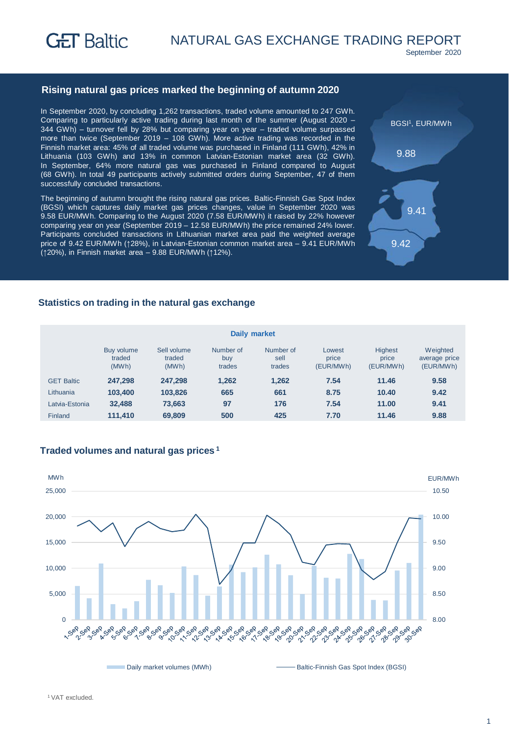

September 2020

## **Rising natural gas prices marked the beginning of autumn 2020**

In September 2020, by concluding 1,262 transactions, traded volume amounted to 247 GWh. Comparing to particularly active trading during last month of the summer (August 2020 – 344 GWh) – turnover fell by 28% but comparing year on year – traded volume surpassed more than twice (September 2019 – 108 GWh). More active trading was recorded in the Finnish market area: 45% of all traded volume was purchased in Finland (111 GWh), 42% in Lithuania (103 GWh) and 13% in common Latvian-Estonian market area (32 GWh). In September, 64% more natural gas was purchased in Finland compared to August (68 GWh). In total 49 participants actively submitted orders during September, 47 of them successfully concluded transactions.

The beginning of autumn brought the rising natural gas prices. Baltic-Finnish Gas Spot Index (BGSI) which captures daily market gas prices changes, value in September 2020 was 9.58 EUR/MWh. Comparing to the August 2020 (7.58 EUR/MWh) it raised by 22% however comparing year on year (September 2019 – 12.58 EUR/MWh) the price remained 24% lower. Participants concluded transactions in Lithuanian market area paid the weighted average price of 9.42 EUR/MWh (↑28%), in Latvian-Estonian common market area - 9.41 EUR/MWh (↑20%), in Finnish market area – 9.88 EUR/MWh (↑12%).



# **Statistics on trading in the natural gas exchange**

| Daily market      |                               |                                |                            |                             |                              |                                      |                                        |  |
|-------------------|-------------------------------|--------------------------------|----------------------------|-----------------------------|------------------------------|--------------------------------------|----------------------------------------|--|
|                   | Buy volume<br>traded<br>(MWh) | Sell volume<br>traded<br>(MWh) | Number of<br>buy<br>trades | Number of<br>sell<br>trades | Lowest<br>price<br>(EUR/MWh) | <b>Highest</b><br>price<br>(EUR/MWh) | Weighted<br>average price<br>(EUR/MWh) |  |
| <b>GET Baltic</b> | 247.298                       | 247.298                        | 1.262                      | 1,262                       | 7.54                         | 11.46                                | 9.58                                   |  |
| Lithuania         | 103,400                       | 103.826                        | 665                        | 661                         | 8.75                         | 10.40                                | 9.42                                   |  |
| Latvia-Estonia    | 32,488                        | 73,663                         | 97                         | 176                         | 7.54                         | 11.00                                | 9.41                                   |  |
| Finland           | 111,410                       | 69,809                         | 500                        | 425                         | 7.70                         | 11.46                                | 9.88                                   |  |

## **Traded volumes and natural gas prices <sup>1</sup>**